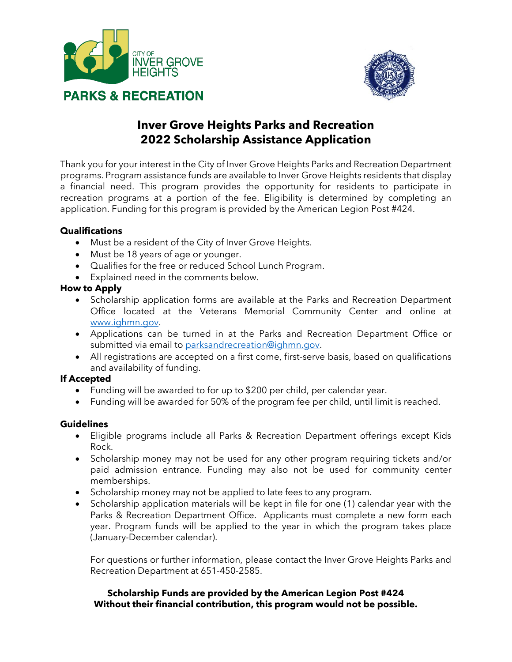



# **Inver Grove Heights Parks and Recreation 2022 Scholarship Assistance Application**

Thank you for your interest in the City of Inver Grove Heights Parks and Recreation Department programs. Program assistance funds are available to Inver Grove Heights residents that display a financial need. This program provides the opportunity for residents to participate in recreation programs at a portion of the fee. Eligibility is determined by completing an application. Funding for this program is provided by the American Legion Post #424.

## **Qualifications**

- Must be a resident of the City of Inver Grove Heights.
- Must be 18 years of age or younger.
- Qualifies for the free or reduced School Lunch Program.
- Explained need in the comments below.

#### **How to Apply**

- Scholarship application forms are available at the Parks and Recreation Department Office located at the Veterans Memorial Community Center and online at [www.ighmn.gov.](http://www.ighmn.gov/)
- Applications can be turned in at the Parks and Recreation Department Office or submitted via email t[o parksandrecreation@ighmn.gov.](mailto:parksandrecreation@ighmn.gov)
- All registrations are accepted on a first come, first-serve basis, based on qualifications and availability of funding.

# **If Accepted**

- Funding will be awarded to for up to \$200 per child, per calendar year.
- Funding will be awarded for 50% of the program fee per child, until limit is reached.

#### **Guidelines**

- Eligible programs include all Parks & Recreation Department offerings except Kids Rock.
- Scholarship money may not be used for any other program requiring tickets and/or paid admission entrance. Funding may also not be used for community center memberships.
- Scholarship money may not be applied to late fees to any program.
- Scholarship application materials will be kept in file for one (1) calendar year with the Parks & Recreation Department Office. Applicants must complete a new form each year. Program funds will be applied to the year in which the program takes place (January-December calendar).

For questions or further information, please contact the Inver Grove Heights Parks and Recreation Department at 651-450-2585.

#### **Scholarship Funds are provided by the American Legion Post #424 Without their financial contribution, this program would not be possible.**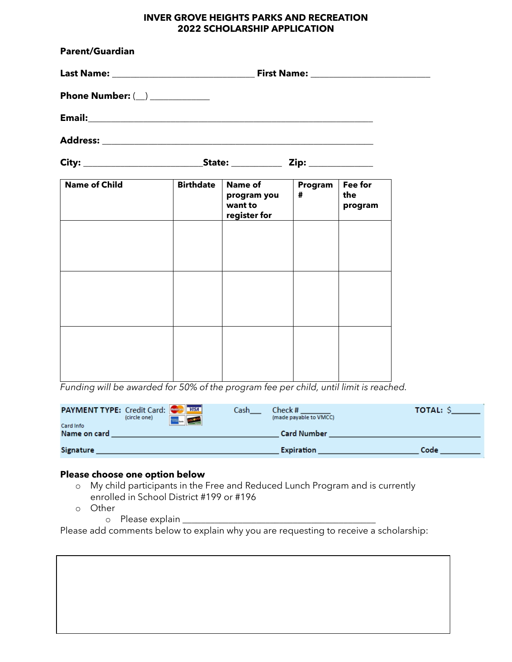#### **INVER GROVE HEIGHTS PARKS AND RECREATION 2022 SCHOLARSHIP APPLICATION**

| <b>Parent/Guardian</b>           |                  |                                                          |              |                           |  |  |
|----------------------------------|------------------|----------------------------------------------------------|--------------|---------------------------|--|--|
|                                  |                  |                                                          |              |                           |  |  |
| Phone Number: $(\_)$ ___________ |                  |                                                          |              |                           |  |  |
|                                  |                  |                                                          |              |                           |  |  |
|                                  |                  |                                                          |              |                           |  |  |
|                                  |                  |                                                          |              |                           |  |  |
| <b>Name of Child</b>             | <b>Birthdate</b> | <b>Name of</b><br>program you<br>want to<br>register for | Program<br># | Fee for<br>the<br>program |  |  |
|                                  |                  |                                                          |              |                           |  |  |
|                                  |                  |                                                          |              |                           |  |  |
|                                  |                  |                                                          |              |                           |  |  |
|                                  |                  |                                                          |              |                           |  |  |
|                                  |                  |                                                          |              |                           |  |  |

*Funding will be awarded for 50% of the program fee per child, until limit is reached.* 

| <b>PAYMENT TYPE:</b> Credit Card: WERE<br><b>Card Info</b> | (circle one) | <b>DISCOVER</b> | Cash | Check#<br>(made payable to VMCC) | <b>TOTAL: S</b> |
|------------------------------------------------------------|--------------|-----------------|------|----------------------------------|-----------------|
| Name on card                                               |              |                 |      | <b>Card Number</b>               |                 |
| <b>Signature</b>                                           |              |                 |      | <b>Expiration</b>                | Code            |

## **Please choose one option below**

- o My child participants in the Free and Reduced Lunch Program and is currently enrolled in School District #199 or #196
- o Other
	- o Please explain \_\_\_\_\_\_\_\_\_\_\_\_\_\_\_\_\_\_\_\_\_\_\_\_\_\_\_\_\_\_\_\_\_\_\_\_\_\_\_\_\_\_

Please add comments below to explain why you are requesting to receive a scholarship: